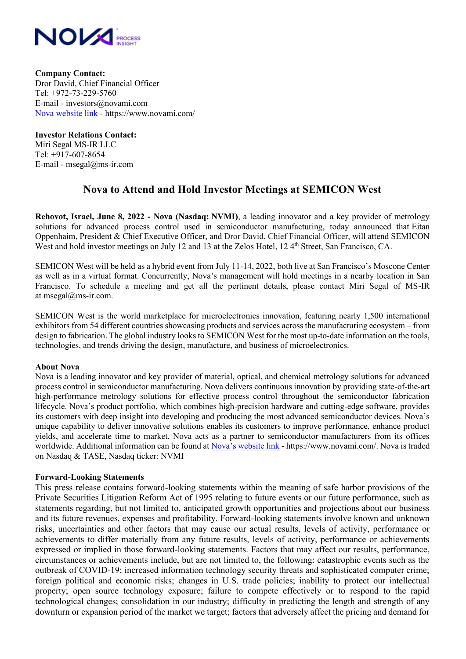

**Company Contact:**  Dror David, Chief Financial Officer Tel: +972-73-229-5760 E-mail - investors@novami.com [Nova website link](https://www.novami.com/) - https://www.novami.com/

**Investor Relations Contact:**  Miri Segal MS-IR LLC Tel: +917-607-8654 E-mail - msegal@ms-ir.com

## **Nova to Attend and Hold Investor Meetings at SEMICON West**

**Rehovot, Israel, June 8, 2022 - Nova (Nasdaq: NVMI)**, a leading innovator and a key provider of metrology solutions for advanced process control used in semiconductor manufacturing, today announced that Eitan Oppenhaim, President & Chief Executive Officer, and Dror David, Chief Financial Officer, will attend SEMICON West and hold investor meetings on July 12 and 13 at the Zelos Hotel, 12 4<sup>th</sup> Street, San Francisco, CA.

SEMICON West will be held as a hybrid event from July 11-14, 2022, both live at San Francisco's Moscone Center as well as in a virtual format. Concurrently, Nova's management will hold meetings in a nearby location in San Francisco. To schedule a meeting and get all the pertinent details, please contact Miri Segal of MS-IR at msegal@ms-ir.com.

SEMICON West is the world marketplace for microelectronics innovation, featuring nearly 1,500 international exhibitors from 54 different countries showcasing products and services across the manufacturing ecosystem – from design to fabrication. The global industry looks to SEMICON West for the most up-to-date information on the tools, technologies, and trends driving the design, manufacture, and business of microelectronics.

## **About Nova**

Nova is a leading innovator and key provider of material, optical, and chemical metrology solutions for advanced process control in semiconductor manufacturing. Nova delivers continuous innovation by providing state-of-the-art high-performance metrology solutions for effective process control throughout the semiconductor fabrication lifecycle. Nova's product portfolio, which combines high-precision hardware and cutting-edge software, provides its customers with deep insight into developing and producing the most advanced semiconductor devices. Nova's unique capability to deliver innovative solutions enables its customers to improve performance, enhance product yields, and accelerate time to market. Nova acts as a partner to semiconductor manufacturers from its offices worldwide. Additional information can be found at [Nova's webs](https://www.novami.com/)ite link - https://www.novami.com/. Nova is traded on Nasdaq & TASE, Nasdaq ticker: NVMI

## **Forward-Looking Statements**

This press release contains forward-looking statements within the meaning of safe harbor provisions of the Private Securities Litigation Reform Act of 1995 relating to future events or our future performance, such as statements regarding, but not limited to, anticipated growth opportunities and projections about our business and its future revenues, expenses and profitability. Forward-looking statements involve known and unknown risks, uncertainties and other factors that may cause our actual results, levels of activity, performance or achievements to differ materially from any future results, levels of activity, performance or achievements expressed or implied in those forward-looking statements. Factors that may affect our results, performance, circumstances or achievements include, but are not limited to, the following: catastrophic events such as the outbreak of COVID-19; increased information technology security threats and sophisticated computer crime; foreign political and economic risks; changes in U.S. trade policies; inability to protect our intellectual property; open source technology exposure; failure to compete effectively or to respond to the rapid technological changes; consolidation in our industry; difficulty in predicting the length and strength of any downturn or expansion period of the market we target; factors that adversely affect the pricing and demand for